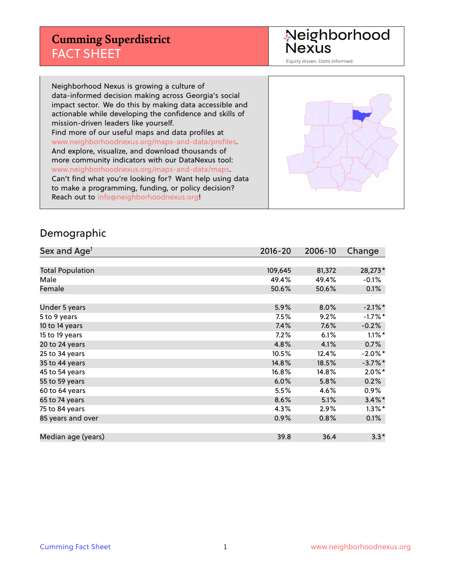#### **Cumming Superdistrict** FACT SHEET

Neighborhood<br>Nexus

Equity driven. Data informed.

Neighborhood Nexus is growing a culture of data-informed decision making across Georgia's social impact sector. We do this by making data accessible and actionable while developing the confidence and skills of mission-driven leaders like yourself. Find more of our useful maps and data profiles at www.neighborhoodnexus.org/maps-and-data/profiles. And explore, visualize, and download thousands of more community indicators with our DataNexus tool: www.neighborhoodnexus.org/maps-and-data/maps. Can't find what you're looking for? Want help using data to make a programming, funding, or policy decision? Reach out to [info@neighborhoodnexus.org!](mailto:info@neighborhoodnexus.org)



#### Demographic

| Sex and Age <sup>1</sup> | $2016 - 20$ | 2006-10 | Change     |
|--------------------------|-------------|---------|------------|
|                          |             |         |            |
| <b>Total Population</b>  | 109,645     | 81,372  | 28,273*    |
| Male                     | 49.4%       | 49.4%   | $-0.1%$    |
| Female                   | 50.6%       | 50.6%   | 0.1%       |
|                          |             |         |            |
| Under 5 years            | 5.9%        | 8.0%    | $-2.1\%$ * |
| 5 to 9 years             | 7.5%        | 9.2%    | $-1.7%$ *  |
| 10 to 14 years           | 7.4%        | 7.6%    | $-0.2%$    |
| 15 to 19 years           | 7.2%        | 6.1%    | $1.1\%$ *  |
| 20 to 24 years           | 4.8%        | 4.1%    | 0.7%       |
| 25 to 34 years           | 10.5%       | 12.4%   | $-2.0\%$ * |
| 35 to 44 years           | 14.8%       | 18.5%   | $-3.7%$ *  |
| 45 to 54 years           | 16.8%       | 14.8%   | $2.0\%$ *  |
| 55 to 59 years           | 6.0%        | 5.8%    | 0.2%       |
| 60 to 64 years           | 5.5%        | 4.6%    | $0.9\%$    |
| 65 to 74 years           | 8.6%        | 5.1%    | $3.4\%$ *  |
| 75 to 84 years           | 4.3%        | 2.9%    | $1.3\%$ *  |
| 85 years and over        | 0.9%        | 0.8%    | $0.1\%$    |
|                          |             |         |            |
| Median age (years)       | 39.8        | 36.4    | $3.3*$     |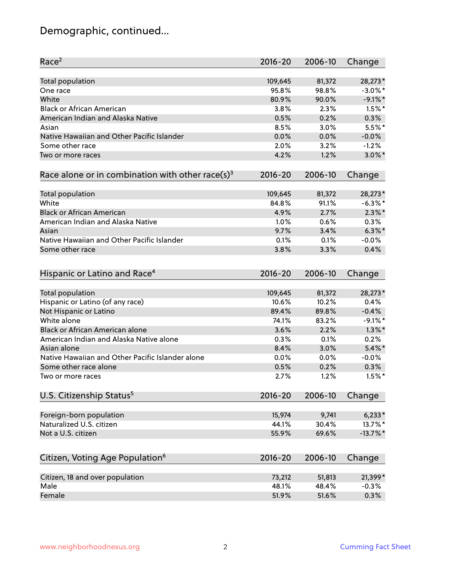# Demographic, continued...

| Race <sup>2</sup>                                            | 2016-20     | 2006-10 | Change      |
|--------------------------------------------------------------|-------------|---------|-------------|
| <b>Total population</b>                                      | 109,645     | 81,372  | 28,273*     |
| One race                                                     | 95.8%       | 98.8%   | $-3.0\%$ *  |
| White                                                        | 80.9%       | 90.0%   | $-9.1\%$ *  |
| <b>Black or African American</b>                             | 3.8%        | 2.3%    | $1.5%$ *    |
| American Indian and Alaska Native                            | 0.5%        | 0.2%    | 0.3%        |
| Asian                                                        | 8.5%        | 3.0%    | 5.5%*       |
| Native Hawaiian and Other Pacific Islander                   | 0.0%        | 0.0%    | $-0.0%$     |
| Some other race                                              | 2.0%        | 3.2%    | $-1.2%$     |
| Two or more races                                            | 4.2%        | 1.2%    | $3.0\%$ *   |
| Race alone or in combination with other race(s) <sup>3</sup> | $2016 - 20$ | 2006-10 | Change      |
| <b>Total population</b>                                      | 109,645     | 81,372  | 28,273*     |
| White                                                        | 84.8%       | 91.1%   | $-6.3\%$ *  |
| <b>Black or African American</b>                             | 4.9%        | 2.7%    | $2.3\%$ *   |
| American Indian and Alaska Native                            | 1.0%        | 0.6%    | 0.3%        |
| Asian                                                        | 9.7%        | 3.4%    | $6.3\%$ *   |
| Native Hawaiian and Other Pacific Islander                   | 0.1%        | 0.1%    | $-0.0%$     |
|                                                              |             |         |             |
| Some other race                                              | 3.8%        | 3.3%    | 0.4%        |
| Hispanic or Latino and Race <sup>4</sup>                     | $2016 - 20$ | 2006-10 | Change      |
| <b>Total population</b>                                      | 109,645     | 81,372  | 28,273*     |
| Hispanic or Latino (of any race)                             | 10.6%       | 10.2%   | 0.4%        |
| Not Hispanic or Latino                                       | 89.4%       | 89.8%   | $-0.4%$     |
| White alone                                                  | 74.1%       | 83.2%   | $-9.1\%$ *  |
| Black or African American alone                              | 3.6%        | 2.2%    | $1.3\%$ *   |
| American Indian and Alaska Native alone                      | 0.3%        | 0.1%    | 0.2%        |
| Asian alone                                                  | 8.4%        | 3.0%    | $5.4\%$ *   |
| Native Hawaiian and Other Pacific Islander alone             | 0.0%        | 0.0%    | $-0.0%$     |
| Some other race alone                                        | 0.5%        | 0.2%    | 0.3%        |
| Two or more races                                            | 2.7%        | 1.2%    | $1.5%$ *    |
| U.S. Citizenship Status <sup>5</sup>                         | 2016-20     | 2006-10 | Change      |
|                                                              |             |         |             |
| Foreign-born population                                      | 15,974      | 9,741   | $6,233*$    |
| Naturalized U.S. citizen                                     | 44.1%       | 30.4%   | 13.7%*      |
| Not a U.S. citizen                                           | 55.9%       | 69.6%   | $-13.7\%$ * |
| Citizen, Voting Age Population <sup>6</sup>                  | $2016 - 20$ | 2006-10 | Change      |
| Citizen, 18 and over population                              | 73,212      | 51,813  | 21,399*     |
| Male                                                         | 48.1%       | 48.4%   | $-0.3%$     |
| Female                                                       | 51.9%       | 51.6%   | 0.3%        |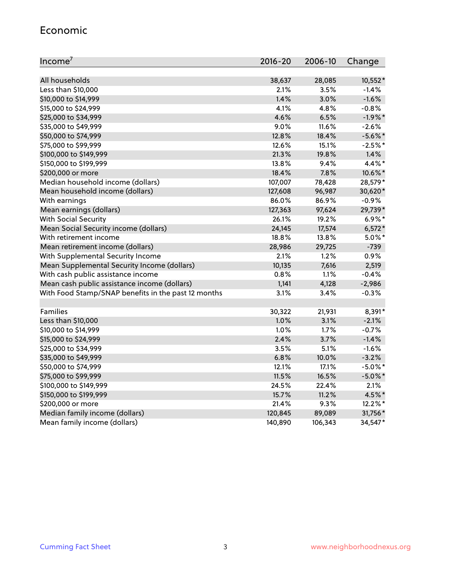#### Economic

| Income <sup>7</sup>                                 | $2016 - 20$ | 2006-10 | Change     |
|-----------------------------------------------------|-------------|---------|------------|
|                                                     |             |         |            |
| All households                                      | 38,637      | 28,085  | 10,552*    |
| Less than \$10,000                                  | 2.1%        | 3.5%    | $-1.4%$    |
| \$10,000 to \$14,999                                | 1.4%        | 3.0%    | $-1.6%$    |
| \$15,000 to \$24,999                                | 4.1%        | 4.8%    | $-0.8%$    |
| \$25,000 to \$34,999                                | 4.6%        | 6.5%    | $-1.9%$ *  |
| \$35,000 to \$49,999                                | 9.0%        | 11.6%   | $-2.6%$    |
| \$50,000 to \$74,999                                | 12.8%       | 18.4%   | $-5.6\%$ * |
| \$75,000 to \$99,999                                | 12.6%       | 15.1%   | $-2.5%$ *  |
| \$100,000 to \$149,999                              | 21.3%       | 19.8%   | 1.4%       |
| \$150,000 to \$199,999                              | 13.8%       | 9.4%    | 4.4%*      |
| \$200,000 or more                                   | 18.4%       | 7.8%    | 10.6%*     |
| Median household income (dollars)                   | 107,007     | 78,428  | 28,579*    |
| Mean household income (dollars)                     | 127,608     | 96,987  | 30,620*    |
| With earnings                                       | 86.0%       | 86.9%   | $-0.9%$    |
| Mean earnings (dollars)                             | 127,363     | 97,624  | 29,739*    |
| <b>With Social Security</b>                         | 26.1%       | 19.2%   | $6.9\%*$   |
| Mean Social Security income (dollars)               | 24,145      | 17,574  | $6,572*$   |
| With retirement income                              | 18.8%       | 13.8%   | $5.0\%$ *  |
| Mean retirement income (dollars)                    | 28,986      | 29,725  | $-739$     |
| With Supplemental Security Income                   | 2.1%        | 1.2%    | 0.9%       |
| Mean Supplemental Security Income (dollars)         | 10,135      | 7,616   | 2,519      |
| With cash public assistance income                  | 0.8%        | 1.1%    | $-0.4%$    |
| Mean cash public assistance income (dollars)        | 1,141       | 4,128   | $-2,986$   |
| With Food Stamp/SNAP benefits in the past 12 months | 3.1%        | 3.4%    | $-0.3%$    |
|                                                     |             |         |            |
| Families                                            | 30,322      | 21,931  | 8,391*     |
| Less than \$10,000                                  | 1.0%        | $3.1\%$ | $-2.1%$    |
| \$10,000 to \$14,999                                | 1.0%        | 1.7%    | $-0.7%$    |
| \$15,000 to \$24,999                                | 2.4%        | 3.7%    | $-1.4%$    |
| \$25,000 to \$34,999                                | 3.5%        | 5.1%    | $-1.6%$    |
| \$35,000 to \$49,999                                | 6.8%        | 10.0%   | $-3.2%$    |
| \$50,000 to \$74,999                                | 12.1%       | 17.1%   | $-5.0\%$ * |
| \$75,000 to \$99,999                                | 11.5%       | 16.5%   | $-5.0\%$ * |
| \$100,000 to \$149,999                              | 24.5%       | 22.4%   | 2.1%       |
| \$150,000 to \$199,999                              | 15.7%       | 11.2%   | 4.5%*      |
| \$200,000 or more                                   | 21.4%       | 9.3%    | 12.2%*     |
| Median family income (dollars)                      | 120,845     | 89,089  | 31,756*    |
| Mean family income (dollars)                        | 140,890     | 106,343 | 34,547*    |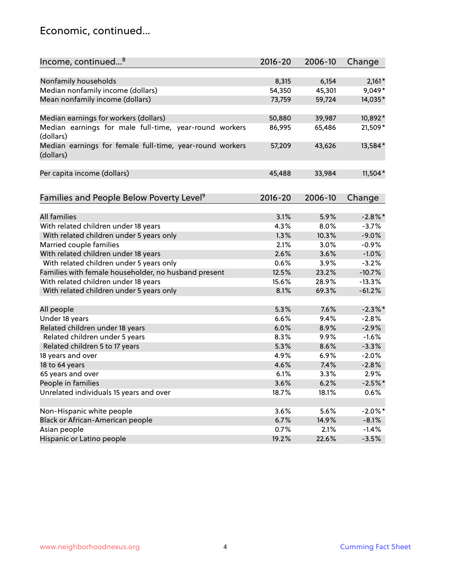#### Economic, continued...

| Income, continued <sup>8</sup>                                        | 2016-20 | 2006-10 | Change     |
|-----------------------------------------------------------------------|---------|---------|------------|
|                                                                       |         |         |            |
| Nonfamily households                                                  | 8,315   | 6,154   | $2,161*$   |
| Median nonfamily income (dollars)                                     | 54,350  | 45,301  | 9,049*     |
| Mean nonfamily income (dollars)                                       | 73,759  | 59,724  | 14,035*    |
| Median earnings for workers (dollars)                                 | 50,880  | 39,987  | 10,892*    |
| Median earnings for male full-time, year-round workers                | 86,995  | 65,486  | 21,509*    |
| (dollars)                                                             |         |         |            |
| Median earnings for female full-time, year-round workers<br>(dollars) | 57,209  | 43,626  | 13,584*    |
| Per capita income (dollars)                                           | 45,488  | 33,984  | $11,504*$  |
|                                                                       |         |         |            |
| Families and People Below Poverty Level <sup>9</sup>                  | 2016-20 | 2006-10 | Change     |
| All families                                                          | 3.1%    | 5.9%    | $-2.8\%$ * |
| With related children under 18 years                                  | 4.3%    | 8.0%    | $-3.7%$    |
| With related children under 5 years only                              | 1.3%    | 10.3%   | $-9.0%$    |
| Married couple families                                               | 2.1%    | 3.0%    | $-0.9%$    |
| With related children under 18 years                                  | 2.6%    | 3.6%    | $-1.0%$    |
| With related children under 5 years only                              | 0.6%    | 3.9%    | $-3.2%$    |
| Families with female householder, no husband present                  | 12.5%   | 23.2%   | $-10.7%$   |
| With related children under 18 years                                  | 15.6%   | 28.9%   | $-13.3%$   |
|                                                                       | 8.1%    | 69.3%   | $-61.2%$   |
| With related children under 5 years only                              |         |         |            |
| All people                                                            | 5.3%    | 7.6%    | $-2.3\%$ * |
| Under 18 years                                                        | 6.6%    | 9.4%    | $-2.8%$    |
| Related children under 18 years                                       | 6.0%    | 8.9%    | $-2.9%$    |
| Related children under 5 years                                        | 8.3%    | 9.9%    | $-1.6%$    |
| Related children 5 to 17 years                                        | 5.3%    | 8.6%    | $-3.3%$    |
| 18 years and over                                                     | 4.9%    | 6.9%    | $-2.0%$    |
| 18 to 64 years                                                        | 4.6%    | 7.4%    | $-2.8%$    |
| 65 years and over                                                     | 6.1%    | 3.3%    | 2.9%       |
| People in families                                                    | 3.6%    | 6.2%    | $-2.5%$ *  |
| Unrelated individuals 15 years and over                               | 18.7%   | 18.1%   | 0.6%       |
|                                                                       |         |         |            |
| Non-Hispanic white people                                             | 3.6%    | 5.6%    | $-2.0\%$ * |
| Black or African-American people                                      | 6.7%    | 14.9%   | $-8.1%$    |
| Asian people                                                          | 0.7%    | 2.1%    | $-1.4%$    |
| Hispanic or Latino people                                             | 19.2%   | 22.6%   | $-3.5%$    |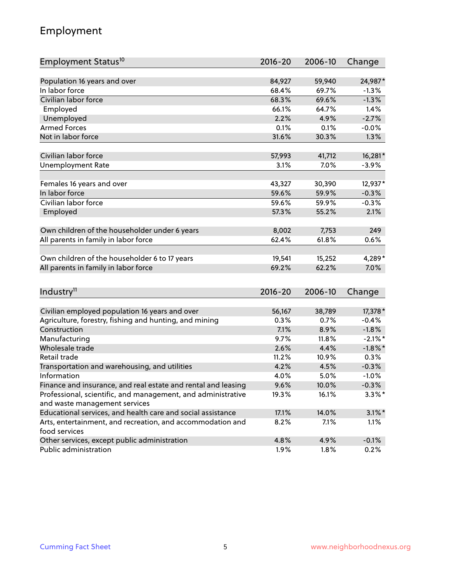### Employment

| Employment Status <sup>10</sup>                               | $2016 - 20$ | 2006-10 | Change     |
|---------------------------------------------------------------|-------------|---------|------------|
|                                                               |             |         |            |
| Population 16 years and over                                  | 84,927      | 59,940  | 24,987*    |
| In labor force                                                | 68.4%       | 69.7%   | $-1.3%$    |
| Civilian labor force                                          | 68.3%       | 69.6%   | $-1.3%$    |
| Employed                                                      | 66.1%       | 64.7%   | 1.4%       |
| Unemployed                                                    | 2.2%        | 4.9%    | $-2.7%$    |
| <b>Armed Forces</b>                                           | 0.1%        | 0.1%    | $-0.0%$    |
| Not in labor force                                            | 31.6%       | 30.3%   | 1.3%       |
| Civilian labor force                                          | 57,993      | 41,712  | 16,281*    |
| <b>Unemployment Rate</b>                                      | 3.1%        | 7.0%    | $-3.9%$    |
|                                                               |             |         |            |
| Females 16 years and over                                     | 43,327      | 30,390  | 12,937*    |
| In labor force                                                | 59.6%       | 59.9%   | $-0.3%$    |
| Civilian labor force                                          | 59.6%       | 59.9%   | $-0.3%$    |
| Employed                                                      | 57.3%       | 55.2%   | 2.1%       |
| Own children of the householder under 6 years                 | 8,002       | 7,753   | 249        |
| All parents in family in labor force                          | 62.4%       | 61.8%   | 0.6%       |
|                                                               |             |         |            |
| Own children of the householder 6 to 17 years                 | 19,541      | 15,252  | 4,289*     |
| All parents in family in labor force                          | 69.2%       | 62.2%   | 7.0%       |
|                                                               |             |         |            |
| Industry <sup>11</sup>                                        | $2016 - 20$ | 2006-10 | Change     |
| Civilian employed population 16 years and over                | 56,167      | 38,789  | 17,378 *   |
| Agriculture, forestry, fishing and hunting, and mining        | 0.3%        | 0.7%    | $-0.4%$    |
| Construction                                                  | 7.1%        | 8.9%    | $-1.8%$    |
| Manufacturing                                                 | 9.7%        | 11.8%   | $-2.1\%$ * |
| Wholesale trade                                               | 2.6%        | 4.4%    | $-1.8\%$ * |
| Retail trade                                                  | 11.2%       | 10.9%   | 0.3%       |
| Transportation and warehousing, and utilities                 | 4.2%        | 4.5%    | $-0.3%$    |
| Information                                                   | 4.0%        | 5.0%    | $-1.0%$    |
| Finance and insurance, and real estate and rental and leasing | 9.6%        | 10.0%   | $-0.3\%$   |
| Professional, scientific, and management, and administrative  | 19.3%       | 16.1%   | $3.3\%$ *  |
| and waste management services                                 |             |         |            |
| Educational services, and health care and social assistance   | 17.1%       | 14.0%   | $3.1\%$ *  |
| Arts, entertainment, and recreation, and accommodation and    | 8.2%        | 7.1%    | 1.1%       |
| food services                                                 |             |         |            |
| Other services, except public administration                  | 4.8%        | 4.9%    | $-0.1%$    |
| Public administration                                         | 1.9%        | 1.8%    | 0.2%       |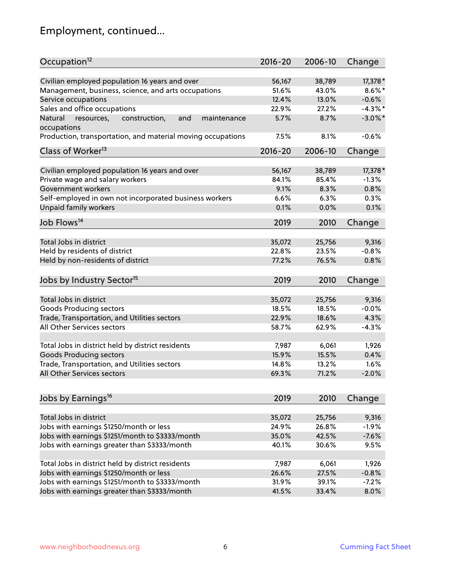# Employment, continued...

| Occupation <sup>12</sup>                                                    | $2016 - 20$ | 2006-10 | Change     |
|-----------------------------------------------------------------------------|-------------|---------|------------|
| Civilian employed population 16 years and over                              | 56,167      | 38,789  | 17,378 *   |
| Management, business, science, and arts occupations                         | 51.6%       | 43.0%   | $8.6\%$ *  |
| Service occupations                                                         | 12.4%       | 13.0%   | $-0.6%$    |
| Sales and office occupations                                                | 22.9%       | 27.2%   | $-4.3\%$ * |
|                                                                             | 5.7%        | 8.7%    | $-3.0\%$ * |
| Natural<br>and<br>resources,<br>construction,<br>maintenance<br>occupations |             |         |            |
| Production, transportation, and material moving occupations                 | 7.5%        | 8.1%    | $-0.6%$    |
| Class of Worker <sup>13</sup>                                               | $2016 - 20$ | 2006-10 | Change     |
|                                                                             |             |         |            |
| Civilian employed population 16 years and over                              | 56,167      | 38,789  | 17,378 *   |
| Private wage and salary workers                                             | 84.1%       | 85.4%   | $-1.3%$    |
| Government workers                                                          | 9.1%        | 8.3%    | 0.8%       |
| Self-employed in own not incorporated business workers                      | 6.6%        | 6.3%    | 0.3%       |
| Unpaid family workers                                                       | 0.1%        | 0.0%    | 0.1%       |
| Job Flows <sup>14</sup>                                                     | 2019        | 2010    | Change     |
|                                                                             |             |         |            |
| Total Jobs in district                                                      | 35,072      | 25,756  | 9,316      |
| Held by residents of district                                               | 22.8%       | 23.5%   | $-0.8%$    |
| Held by non-residents of district                                           | 77.2%       | 76.5%   | 0.8%       |
| Jobs by Industry Sector <sup>15</sup>                                       | 2019        | 2010    | Change     |
|                                                                             |             |         |            |
| Total Jobs in district                                                      | 35,072      | 25,756  | 9,316      |
| Goods Producing sectors                                                     | 18.5%       | 18.5%   | $-0.0%$    |
| Trade, Transportation, and Utilities sectors                                | 22.9%       | 18.6%   | 4.3%       |
| All Other Services sectors                                                  | 58.7%       | 62.9%   | $-4.3%$    |
|                                                                             |             |         |            |
| Total Jobs in district held by district residents                           | 7,987       | 6,061   | 1,926      |
| <b>Goods Producing sectors</b>                                              | 15.9%       | 15.5%   | 0.4%       |
| Trade, Transportation, and Utilities sectors                                | 14.8%       | 13.2%   | 1.6%       |
| All Other Services sectors                                                  | 69.3%       | 71.2%   | $-2.0%$    |
|                                                                             |             |         |            |
| Jobs by Earnings <sup>16</sup>                                              | 2019        | 2010    | Change     |
| Total Jobs in district                                                      | 35,072      | 25,756  | 9,316      |
| Jobs with earnings \$1250/month or less                                     | 24.9%       | 26.8%   | $-1.9%$    |
| Jobs with earnings \$1251/month to \$3333/month                             | 35.0%       | 42.5%   | $-7.6%$    |
| Jobs with earnings greater than \$3333/month                                | 40.1%       | 30.6%   | 9.5%       |
|                                                                             |             |         |            |
| Total Jobs in district held by district residents                           | 7,987       | 6,061   | 1,926      |
| Jobs with earnings \$1250/month or less                                     | 26.6%       | 27.5%   | $-0.8%$    |
| Jobs with earnings \$1251/month to \$3333/month                             | 31.9%       | 39.1%   | $-7.2%$    |
| Jobs with earnings greater than \$3333/month                                | 41.5%       | 33.4%   | 8.0%       |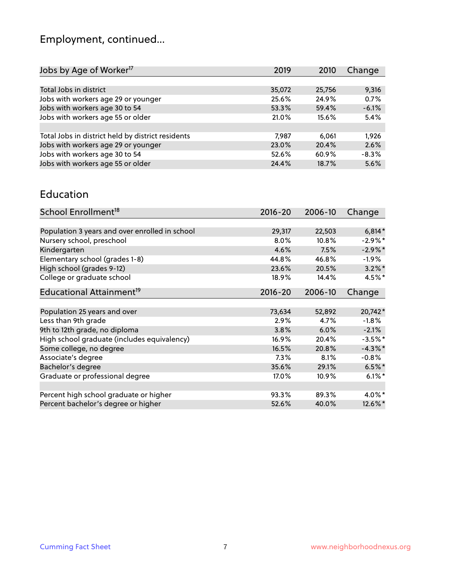# Employment, continued...

| 2019   | 2010   | Change  |
|--------|--------|---------|
|        |        |         |
| 35,072 | 25,756 | 9,316   |
| 25.6%  | 24.9%  | 0.7%    |
| 53.3%  | 59.4%  | $-6.1%$ |
| 21.0%  | 15.6%  | 5.4%    |
|        |        |         |
| 7.987  | 6.061  | 1,926   |
| 23.0%  | 20.4%  | 2.6%    |
| 52.6%  | 60.9%  | $-8.3%$ |
| 24.4%  | 18.7%  | 5.6%    |
|        |        |         |

#### Education

| School Enrollment <sup>18</sup>                | $2016 - 20$ | 2006-10 | Change     |
|------------------------------------------------|-------------|---------|------------|
|                                                |             |         |            |
| Population 3 years and over enrolled in school | 29,317      | 22,503  | $6,814*$   |
| Nursery school, preschool                      | 8.0%        | 10.8%   | $-2.9\%$ * |
| Kindergarten                                   | 4.6%        | 7.5%    | $-2.9\%$ * |
| Elementary school (grades 1-8)                 | 44.8%       | 46.8%   | $-1.9\%$   |
| High school (grades 9-12)                      | 23.6%       | 20.5%   | $3.2\%$ *  |
| College or graduate school                     | 18.9%       | 14.4%   | 4.5%*      |
| Educational Attainment <sup>19</sup>           | 2016-20     | 2006-10 | Change     |
|                                                |             |         |            |
| Population 25 years and over                   | 73,634      | 52,892  | 20,742*    |
| Less than 9th grade                            | 2.9%        | 4.7%    | $-1.8%$    |
| 9th to 12th grade, no diploma                  | 3.8%        | 6.0%    | $-2.1%$    |
| High school graduate (includes equivalency)    | 16.9%       | 20.4%   | $-3.5%$ *  |
| Some college, no degree                        | 16.5%       | 20.8%   | $-4.3\%$ * |
| Associate's degree                             | 7.3%        | 8.1%    | $-0.8\%$   |
| Bachelor's degree                              | 35.6%       | 29.1%   | $6.5%$ *   |
| Graduate or professional degree                | 17.0%       | 10.9%   | $6.1\%$ *  |
| Percent high school graduate or higher         | 93.3%       | 89.3%   | 4.0%*      |
| Percent bachelor's degree or higher            | 52.6%       | 40.0%   | 12.6%*     |
|                                                |             |         |            |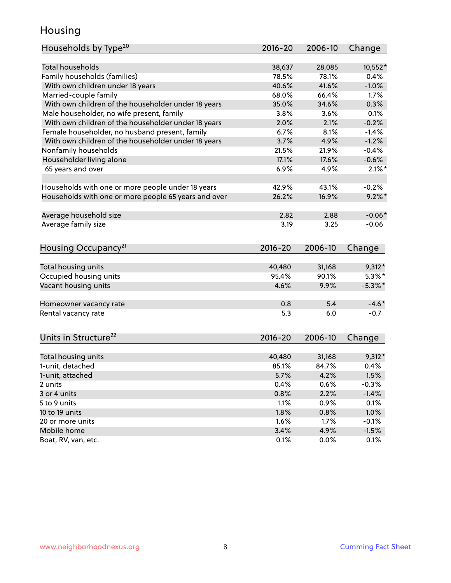#### Housing

| Households by Type <sup>20</sup>                     | 2016-20 | 2006-10 | Change     |
|------------------------------------------------------|---------|---------|------------|
|                                                      |         |         |            |
| <b>Total households</b>                              | 38,637  | 28,085  | $10,552*$  |
| Family households (families)                         | 78.5%   | 78.1%   | 0.4%       |
| With own children under 18 years                     | 40.6%   | 41.6%   | $-1.0%$    |
| Married-couple family                                | 68.0%   | 66.4%   | 1.7%       |
| With own children of the householder under 18 years  | 35.0%   | 34.6%   | 0.3%       |
| Male householder, no wife present, family            | 3.8%    | 3.6%    | 0.1%       |
| With own children of the householder under 18 years  | 2.0%    | 2.1%    | $-0.2%$    |
| Female householder, no husband present, family       | 6.7%    | 8.1%    | $-1.4%$    |
| With own children of the householder under 18 years  | 3.7%    | 4.9%    | $-1.2%$    |
| Nonfamily households                                 | 21.5%   | 21.9%   | $-0.4%$    |
| Householder living alone                             | 17.1%   | 17.6%   | $-0.6%$    |
| 65 years and over                                    | 6.9%    | 4.9%    | $2.1\%$ *  |
|                                                      |         |         |            |
| Households with one or more people under 18 years    | 42.9%   | 43.1%   | $-0.2%$    |
| Households with one or more people 65 years and over | 26.2%   | 16.9%   | $9.2\%$ *  |
|                                                      |         |         |            |
| Average household size                               | 2.82    | 2.88    | $-0.06*$   |
| Average family size                                  | 3.19    | 3.25    | $-0.06$    |
|                                                      |         |         |            |
| Housing Occupancy <sup>21</sup>                      | 2016-20 | 2006-10 | Change     |
| Total housing units                                  | 40,480  | 31,168  | $9,312*$   |
| Occupied housing units                               | 95.4%   | 90.1%   | $5.3\%$ *  |
| Vacant housing units                                 | 4.6%    | 9.9%    | $-5.3\%$ * |
|                                                      |         |         |            |
| Homeowner vacancy rate                               | 0.8     | 5.4     | $-4.6*$    |
| Rental vacancy rate                                  | 5.3     | 6.0     | $-0.7$     |
|                                                      |         |         |            |
| Units in Structure <sup>22</sup>                     | 2016-20 | 2006-10 | Change     |
|                                                      |         |         |            |
| Total housing units                                  | 40,480  | 31,168  | $9,312*$   |
| 1-unit, detached                                     | 85.1%   | 84.7%   | 0.4%       |
| 1-unit, attached                                     | 5.7%    | 4.2%    | 1.5%       |
| 2 units                                              | 0.4%    | 0.6%    | $-0.3%$    |
| 3 or 4 units                                         | 0.8%    | 2.2%    | $-1.4%$    |
| 5 to 9 units                                         | 1.1%    | 0.9%    | 0.1%       |
| 10 to 19 units                                       | 1.8%    | 0.8%    | 1.0%       |
| 20 or more units                                     | 1.6%    | 1.7%    | $-0.1%$    |
| Mobile home                                          | 3.4%    | 4.9%    | $-1.5%$    |
| Boat, RV, van, etc.                                  | 0.1%    | 0.0%    | 0.1%       |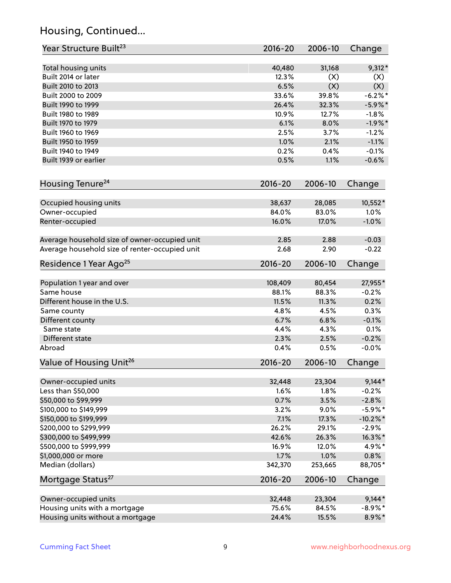# Housing, Continued...

| Year Structure Built <sup>23</sup>             | 2016-20     | 2006-10 | Change      |
|------------------------------------------------|-------------|---------|-------------|
| Total housing units                            | 40,480      | 31,168  | $9,312*$    |
| Built 2014 or later                            | 12.3%       | (X)     | (X)         |
| Built 2010 to 2013                             | 6.5%        | (X)     | (X)         |
| Built 2000 to 2009                             | 33.6%       | 39.8%   | $-6.2\%$ *  |
| Built 1990 to 1999                             | 26.4%       | 32.3%   | $-5.9\%$ *  |
| Built 1980 to 1989                             | 10.9%       | 12.7%   | $-1.8%$     |
| Built 1970 to 1979                             | 6.1%        | 8.0%    | $-1.9%$ *   |
| Built 1960 to 1969                             | 2.5%        | 3.7%    | $-1.2%$     |
| Built 1950 to 1959                             | 1.0%        | 2.1%    | $-1.1%$     |
| Built 1940 to 1949                             | 0.2%        | 0.4%    | $-0.1%$     |
| Built 1939 or earlier                          | 0.5%        | 1.1%    | $-0.6%$     |
| Housing Tenure <sup>24</sup>                   | $2016 - 20$ | 2006-10 | Change      |
|                                                |             |         |             |
| Occupied housing units                         | 38,637      | 28,085  | 10,552*     |
| Owner-occupied                                 | 84.0%       | 83.0%   | 1.0%        |
| Renter-occupied                                | 16.0%       | 17.0%   | $-1.0%$     |
| Average household size of owner-occupied unit  | 2.85        | 2.88    | $-0.03$     |
| Average household size of renter-occupied unit | 2.68        | 2.90    | $-0.22$     |
| Residence 1 Year Ago <sup>25</sup>             | 2016-20     | 2006-10 | Change      |
|                                                |             |         |             |
| Population 1 year and over                     | 108,409     | 80,454  | 27,955*     |
| Same house                                     | 88.1%       | 88.3%   | $-0.2%$     |
| Different house in the U.S.                    | 11.5%       | 11.3%   | 0.2%        |
| Same county                                    | 4.8%        | 4.5%    | 0.3%        |
| Different county                               | 6.7%        | 6.8%    | $-0.1%$     |
| Same state                                     | 4.4%        | 4.3%    | 0.1%        |
| Different state                                | 2.3%        | 2.5%    | $-0.2%$     |
| Abroad                                         | 0.4%        | 0.5%    | $-0.0%$     |
| Value of Housing Unit <sup>26</sup>            | $2016 - 20$ | 2006-10 | Change      |
| Owner-occupied units                           | 32,448      | 23,304  | $9,144*$    |
| Less than \$50,000                             | 1.6%        | 1.8%    | $-0.2%$     |
| \$50,000 to \$99,999                           | 0.7%        | 3.5%    | $-2.8%$     |
| \$100,000 to \$149,999                         | 3.2%        | 9.0%    | $-5.9\%$ *  |
| \$150,000 to \$199,999                         | 7.1%        | 17.3%   | $-10.2\%$ * |
| \$200,000 to \$299,999                         | 26.2%       | 29.1%   | $-2.9%$     |
| \$300,000 to \$499,999                         | 42.6%       | 26.3%   | 16.3%*      |
| \$500,000 to \$999,999                         | 16.9%       | 12.0%   | 4.9%*       |
| \$1,000,000 or more                            | 1.7%        | 1.0%    | 0.8%        |
| Median (dollars)                               | 342,370     | 253,665 | 88,705*     |
| Mortgage Status <sup>27</sup>                  | 2016-20     | 2006-10 | Change      |
| Owner-occupied units                           | 32,448      | 23,304  | $9,144*$    |
| Housing units with a mortgage                  | 75.6%       | 84.5%   | $-8.9\%$ *  |
| Housing units without a mortgage               | 24.4%       | 15.5%   | 8.9%*       |
|                                                |             |         |             |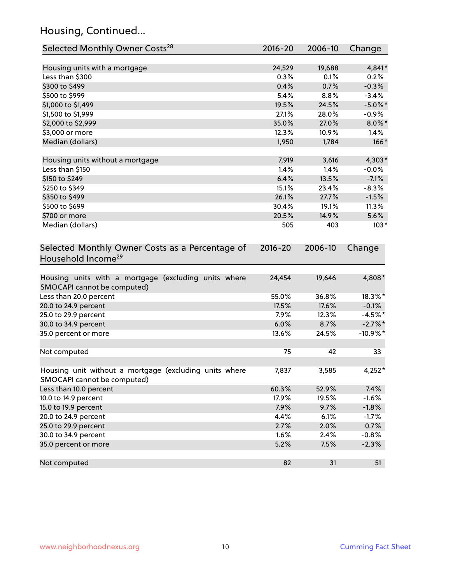### Housing, Continued...

| Selected Monthly Owner Costs <sup>28</sup>                                            | 2016-20     | 2006-10 | Change     |
|---------------------------------------------------------------------------------------|-------------|---------|------------|
| Housing units with a mortgage                                                         | 24,529      | 19,688  | 4,841*     |
| Less than \$300                                                                       | 0.3%        | 0.1%    | 0.2%       |
| \$300 to \$499                                                                        | 0.4%        | 0.7%    | $-0.3%$    |
| \$500 to \$999                                                                        | 5.4%        | 8.8%    | $-3.4%$    |
| \$1,000 to \$1,499                                                                    | 19.5%       | 24.5%   | $-5.0\%$ * |
| \$1,500 to \$1,999                                                                    | 27.1%       | 28.0%   | $-0.9\%$   |
| \$2,000 to \$2,999                                                                    | 35.0%       | 27.0%   | $8.0\%$ *  |
| \$3,000 or more                                                                       | 12.3%       | 10.9%   | 1.4%       |
| Median (dollars)                                                                      | 1,950       | 1,784   | $166*$     |
| Housing units without a mortgage                                                      | 7,919       | 3,616   | $4,303*$   |
| Less than \$150                                                                       | 1.4%        | 1.4%    | $-0.0%$    |
| \$150 to \$249                                                                        | 6.4%        | 13.5%   | $-7.1%$    |
| \$250 to \$349                                                                        | 15.1%       | 23.4%   | $-8.3%$    |
| \$350 to \$499                                                                        | 26.1%       | 27.7%   | $-1.5%$    |
| \$500 to \$699                                                                        | 30.4%       | 19.1%   | 11.3%      |
| \$700 or more                                                                         | 20.5%       | 14.9%   | 5.6%       |
| Median (dollars)                                                                      | 505         | 403     | $103*$     |
| Selected Monthly Owner Costs as a Percentage of<br>Household Income <sup>29</sup>     | $2016 - 20$ | 2006-10 | Change     |
| Housing units with a mortgage (excluding units where<br>SMOCAPI cannot be computed)   | 24,454      | 19,646  | 4,808*     |
| Less than 20.0 percent                                                                | 55.0%       | 36.8%   | 18.3%*     |
| 20.0 to 24.9 percent                                                                  | 17.5%       | 17.6%   | $-0.1%$    |
| 25.0 to 29.9 percent                                                                  | 7.9%        | 12.3%   | $-4.5%$ *  |
| 30.0 to 34.9 percent                                                                  | 6.0%        | 8.7%    | $-2.7\%$ * |
| 35.0 percent or more                                                                  | 13.6%       | 24.5%   | $-10.9%$ * |
| Not computed                                                                          | 75          | 42      | 33         |
| Housing unit without a mortgage (excluding units where<br>SMOCAPI cannot be computed) | 7,837       | 3,585   | 4,252*     |
| Less than 10.0 percent                                                                | 60.3%       | 52.9%   | 7.4%       |
| 10.0 to 14.9 percent                                                                  | 17.9%       | 19.5%   | $-1.6%$    |
| 15.0 to 19.9 percent                                                                  | 7.9%        | 9.7%    | $-1.8%$    |
| 20.0 to 24.9 percent                                                                  | 4.4%        | 6.1%    | $-1.7%$    |
| 25.0 to 29.9 percent                                                                  | 2.7%        | 2.0%    | 0.7%       |
| 30.0 to 34.9 percent                                                                  | 1.6%        | 2.4%    | $-0.8%$    |
| 35.0 percent or more                                                                  | 5.2%        | 7.5%    | $-2.3%$    |
| Not computed                                                                          | 82          | 31      | 51         |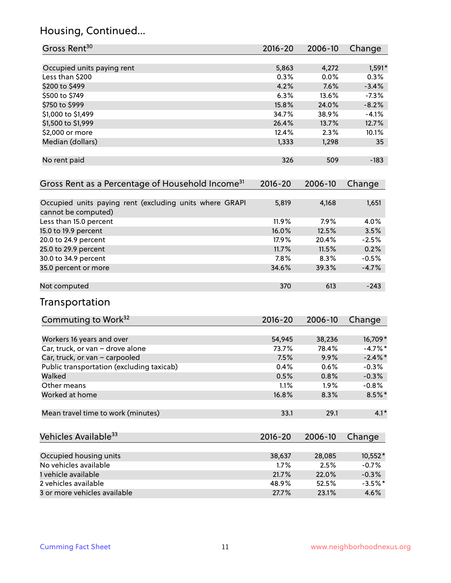### Housing, Continued...

| Gross Rent <sup>30</sup>                                                       | 2016-20 | 2006-10 | Change     |
|--------------------------------------------------------------------------------|---------|---------|------------|
| Occupied units paying rent                                                     | 5,863   | 4,272   | $1,591*$   |
| Less than \$200                                                                | 0.3%    | 0.0%    | 0.3%       |
| \$200 to \$499                                                                 | 4.2%    | 7.6%    | $-3.4%$    |
| \$500 to \$749                                                                 | 6.3%    | 13.6%   | $-7.3%$    |
| \$750 to \$999                                                                 | 15.8%   | 24.0%   | $-8.2%$    |
| \$1,000 to \$1,499                                                             | 34.7%   | 38.9%   | $-4.1%$    |
| \$1,500 to \$1,999                                                             | 26.4%   | 13.7%   | 12.7%      |
| \$2,000 or more                                                                | 12.4%   | 2.3%    | 10.1%      |
| Median (dollars)                                                               | 1,333   | 1,298   | 35         |
| No rent paid                                                                   | 326     | 509     | $-183$     |
| Gross Rent as a Percentage of Household Income <sup>31</sup>                   | 2016-20 | 2006-10 | Change     |
| Occupied units paying rent (excluding units where GRAPI<br>cannot be computed) | 5,819   | 4,168   | 1,651      |
| Less than 15.0 percent                                                         | 11.9%   | 7.9%    | 4.0%       |
| 15.0 to 19.9 percent                                                           | 16.0%   | 12.5%   | 3.5%       |
| 20.0 to 24.9 percent                                                           | 17.9%   | 20.4%   | $-2.5%$    |
| 25.0 to 29.9 percent                                                           | 11.7%   | 11.5%   | 0.2%       |
| 30.0 to 34.9 percent                                                           | 7.8%    | 8.3%    | $-0.5%$    |
| 35.0 percent or more                                                           | 34.6%   | 39.3%   | $-4.7%$    |
| Not computed                                                                   | 370     | 613     | $-243$     |
| Transportation                                                                 |         |         |            |
| Commuting to Work <sup>32</sup>                                                | 2016-20 | 2006-10 | Change     |
| Workers 16 years and over                                                      | 54,945  | 38,236  | 16,709*    |
| Car, truck, or van - drove alone                                               | 73.7%   | 78.4%   | $-4.7%$ *  |
| Car, truck, or van - carpooled                                                 | 7.5%    | 9.9%    | $-2.4\%$ * |
| Public transportation (excluding taxicab)                                      | 0.4%    | 0.6%    | $-0.3%$    |
| Walked                                                                         | 0.5%    | 0.8%    | $-0.3%$    |
| Other means                                                                    | 1.1%    | 1.9%    | $-0.8%$    |
| Worked at home                                                                 | 16.8%   | 8.3%    | 8.5%*      |
| Mean travel time to work (minutes)                                             | 33.1    | 29.1    | $4.1*$     |
| Vehicles Available <sup>33</sup>                                               | 2016-20 | 2006-10 | Change     |
| Occupied housing units                                                         | 38,637  | 28,085  | 10,552*    |
| No vehicles available                                                          | 1.7%    | 2.5%    | $-0.7%$    |
| 1 vehicle available                                                            | 21.7%   | 22.0%   | $-0.3%$    |
| 2 vehicles available                                                           | 48.9%   | 52.5%   | $-3.5%$ *  |
| 3 or more vehicles available                                                   | 27.7%   | 23.1%   | 4.6%       |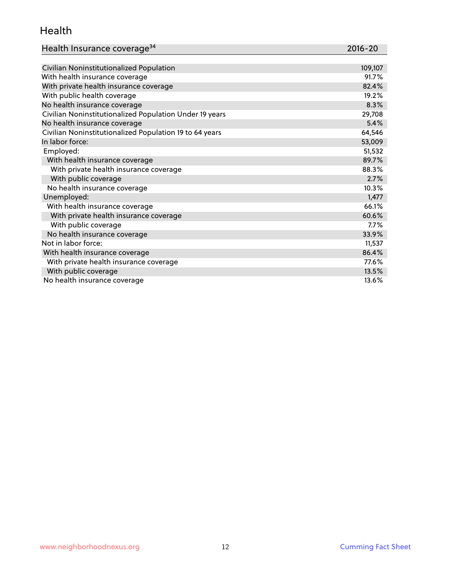#### Health

| Health Insurance coverage <sup>34</sup> | 2016-20 |
|-----------------------------------------|---------|
|-----------------------------------------|---------|

| Civilian Noninstitutionalized Population                | 109,107 |
|---------------------------------------------------------|---------|
| With health insurance coverage                          | 91.7%   |
| With private health insurance coverage                  | 82.4%   |
| With public health coverage                             | 19.2%   |
| No health insurance coverage                            | 8.3%    |
| Civilian Noninstitutionalized Population Under 19 years | 29,708  |
| No health insurance coverage                            | 5.4%    |
| Civilian Noninstitutionalized Population 19 to 64 years | 64,546  |
| In labor force:                                         | 53,009  |
| Employed:                                               | 51,532  |
| With health insurance coverage                          | 89.7%   |
| With private health insurance coverage                  | 88.3%   |
| With public coverage                                    | 2.7%    |
| No health insurance coverage                            | 10.3%   |
| Unemployed:                                             | 1,477   |
| With health insurance coverage                          | 66.1%   |
| With private health insurance coverage                  | 60.6%   |
| With public coverage                                    | 7.7%    |
| No health insurance coverage                            | 33.9%   |
| Not in labor force:                                     | 11,537  |
| With health insurance coverage                          | 86.4%   |
| With private health insurance coverage                  | 77.6%   |
| With public coverage                                    | 13.5%   |
| No health insurance coverage                            | 13.6%   |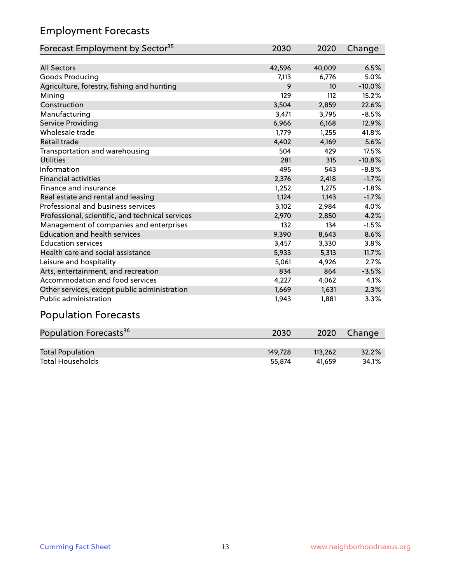### Employment Forecasts

| Forecast Employment by Sector <sup>35</sup>      | 2030   | 2020   | Change   |
|--------------------------------------------------|--------|--------|----------|
|                                                  |        |        |          |
| <b>All Sectors</b>                               | 42,596 | 40,009 | 6.5%     |
| Goods Producing                                  | 7,113  | 6,776  | 5.0%     |
| Agriculture, forestry, fishing and hunting       | 9      | 10     | $-10.0%$ |
| Mining                                           | 129    | 112    | 15.2%    |
| Construction                                     | 3,504  | 2,859  | 22.6%    |
| Manufacturing                                    | 3,471  | 3,795  | $-8.5%$  |
| Service Providing                                | 6,966  | 6,168  | 12.9%    |
| Wholesale trade                                  | 1,779  | 1,255  | 41.8%    |
| Retail trade                                     | 4,402  | 4,169  | 5.6%     |
| Transportation and warehousing                   | 504    | 429    | 17.5%    |
| <b>Utilities</b>                                 | 281    | 315    | $-10.8%$ |
| Information                                      | 495    | 543    | $-8.8%$  |
| <b>Financial activities</b>                      | 2,376  | 2,418  | $-1.7%$  |
| Finance and insurance                            | 1,252  | 1,275  | $-1.8%$  |
| Real estate and rental and leasing               | 1,124  | 1,143  | $-1.7%$  |
| Professional and business services               | 3,102  | 2,984  | 4.0%     |
| Professional, scientific, and technical services | 2,970  | 2,850  | 4.2%     |
| Management of companies and enterprises          | 132    | 134    | $-1.5%$  |
| <b>Education and health services</b>             | 9,390  | 8,643  | 8.6%     |
| <b>Education services</b>                        | 3,457  | 3,330  | 3.8%     |
| Health care and social assistance                | 5,933  | 5,313  | 11.7%    |
| Leisure and hospitality                          | 5,061  | 4,926  | 2.7%     |
| Arts, entertainment, and recreation              | 834    | 864    | $-3.5%$  |
| Accommodation and food services                  | 4,227  | 4,062  | 4.1%     |
| Other services, except public administration     | 1,669  | 1,631  | 2.3%     |
| <b>Public administration</b>                     | 1,943  | 1,881  | 3.3%     |

## Population Forecasts

| Population Forecasts <sup>36</sup> | 2030    | 2020    | Change |
|------------------------------------|---------|---------|--------|
|                                    |         |         |        |
| <b>Total Population</b>            | 149.728 | 113,262 | 32.2%  |
| <b>Total Households</b>            | 55.874  | 41.659  | 34.1%  |